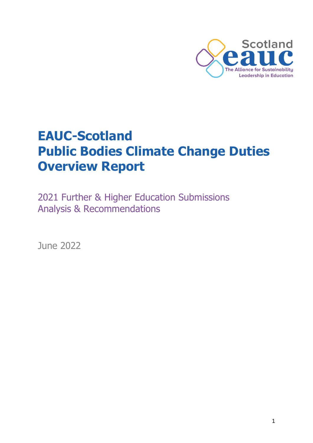

# **EAUC-Scotland Public Bodies Climate Change Duties Overview Report**

2021 Further & Higher Education Submissions Analysis & Recommendations

June 2022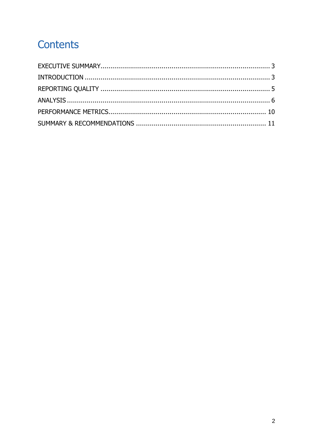# Contents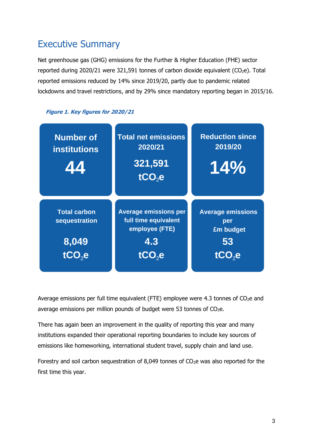### <span id="page-2-0"></span>Executive Summary

Net greenhouse gas (GHG) emissions for the Further & Higher Education (FHE) sector reported during 2020/21 were 321,591 tonnes of carbon dioxide equivalent (CO<sub>2</sub>e). Total reported emissions reduced by 14% since 2019/20, partly due to pandemic related lockdowns and travel restrictions, and by 29% since mandatory reporting began in 2015/16.





<span id="page-2-1"></span>Average emissions per full time equivalent (FTE) employee were 4.3 tonnes of  $CO<sub>2</sub>e$  and average emissions per million pounds of budget were 53 tonnes of  $CO<sub>2</sub>e$ .

There has again been an improvement in the quality of reporting this year and many institutions expanded their operational reporting boundaries to include key sources of emissions like homeworking, international student travel, supply chain and land use.

Forestry and soil carbon sequestration of 8,049 tonnes of  $CO<sub>2</sub>e$  was also reported for the first time this year.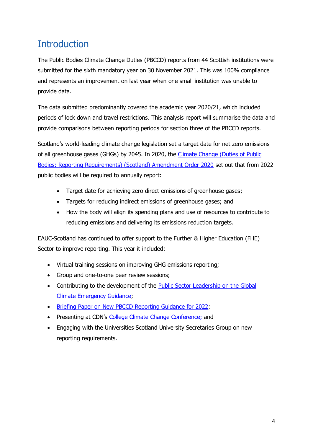# **Introduction**

The Public Bodies Climate Change Duties (PBCCD) reports from 44 Scottish institutions were submitted for the sixth mandatory year on 30 November 2021. This was 100% compliance and represents an improvement on last year when one small institution was unable to provide data.

The data submitted predominantly covered the academic year 2020/21, which included periods of lock down and travel restrictions. This analysis report will summarise the data and provide comparisons between reporting periods for section three of the PBCCD reports.

Scotland's world-leading climate change legislation set a target date for net zero emissions of all greenhouse gases (GHGs) by 2045. In 2020, the [Climate Change \(Duties of Public](https://www.legislation.gov.uk/ssi/2020/281/contents/made)  [Bodies: Reporting Requirements\) \(Scotland\) Amendment Order 2020](https://www.legislation.gov.uk/ssi/2020/281/contents/made) set out that from 2022 public bodies will be required to annually report:

- Target date for achieving zero direct emissions of greenhouse gases;
- Targets for reducing indirect emissions of greenhouse gases; and
- How the body will align its spending plans and use of resources to contribute to reducing emissions and delivering its emissions reduction targets.

EAUC-Scotland has continued to offer support to the Further & Higher Education (FHE) Sector to improve reporting. This year it included:

- Virtual training sessions on improving GHG emissions reporting;
- Group and one-to-one peer review sessions;
- Contributing to the development of the [Public Sector Leadership on the Global](https://www.gov.scot/publications/public-sector-leadership-global-climate-emergency/)  [Climate Emergency Guidance;](https://www.gov.scot/publications/public-sector-leadership-global-climate-emergency/)
- [Briefing Paper on New PBCCD Reporting Guidance for 2022;](https://www.sustainabilityexchange.ac.uk/files/briefing_paper_-_public_sector_leadership_on_the_global_climate_emergency_2021.pdf)
- Presenting at CDN's [College Climate Change](https://www.cdn.ac.uk/blog/event-summary-college-climate-change-conference-2021/) Conference; and
- Engaging with the Universities Scotland University Secretaries Group on new reporting requirements.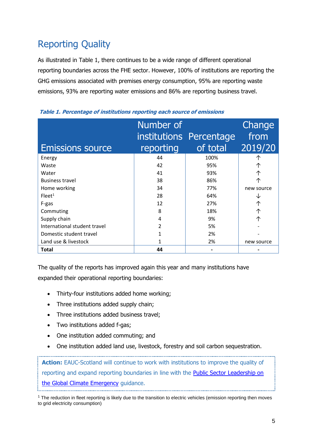# <span id="page-4-0"></span>Reporting Quality

As illustrated in Table 1, there continues to be a wide range of different operational reporting boundaries across the FHE sector. However, 100% of institutions are reporting the GHG emissions associated with premises energy consumption, 95% are reporting waste emissions, 93% are reporting water emissions and 86% are reporting business travel.

|                              | Number of | institutions Percentage | Change<br>from |  |
|------------------------------|-----------|-------------------------|----------------|--|
| <b>Emissions source</b>      | reporting | of total                | 2019/20        |  |
| Energy                       | 44        | 100%                    |                |  |
| Waste                        | 42        | 95%                     | 个              |  |
| Water                        | 41        | 93%                     | 个              |  |
| <b>Business travel</b>       | 38        | 86%                     | 个              |  |
| Home working                 | 34        | 77%                     | new source     |  |
| Fleet <sup>1</sup>           | 28        | 64%                     |                |  |
| F-gas                        | 12        | 27%                     | 个              |  |
| Commuting                    | 8         | 18%                     |                |  |
| Supply chain                 | 4         | 9%                      | 个              |  |
| International student travel | 2         | 5%                      |                |  |
| Domestic student travel      | 1         | 2%                      |                |  |
| Land use & livestock         |           | 2%                      | new source     |  |
| Total                        | 44        |                         |                |  |

#### **Table 1. Percentage of institutions reporting each source of emissions**

The quality of the reports has improved again this year and many institutions have expanded their operational reporting boundaries:

- Thirty-four institutions added home working;
- Three institutions added supply chain:
- Three institutions added business travel:
- Two institutions added f-gas;
- One institution added commuting; and
- One institution added land use, livestock, forestry and soil carbon sequestration.

**Action:** EAUC-Scotland will continue to work with institutions to improve the quality of reporting and expand reporting boundaries in line with the [Public Sector Leadership on](https://www.gov.scot/publications/public-sector-leadership-global-climate-emergency/)  [the Global Climate Emergency](https://www.gov.scot/publications/public-sector-leadership-global-climate-emergency/) guidance.

 $1$  The reduction in fleet reporting is likely due to the transition to electric vehicles (emission reporting then moves to grid electricity consumption)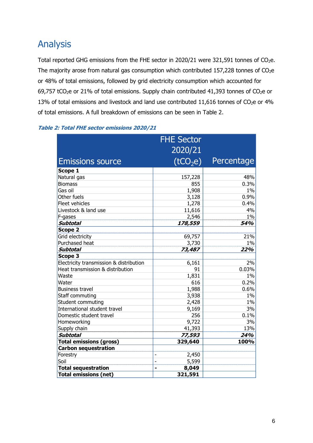### <span id="page-5-0"></span>Analysis

Total reported GHG emissions from the FHE sector in 2020/21 were 321,591 tonnes of  $CO<sub>2</sub>e$ . The majority arose from natural gas consumption which contributed  $157,228$  tonnes of  $CO<sub>2</sub>e$ or 48% of total emissions, followed by grid electricity consumption which accounted for 69,757 tCO<sub>2</sub>e or 21% of total emissions. Supply chain contributed 41,393 tonnes of CO<sub>2</sub>e or 13% of total emissions and livestock and land use contributed 11,616 tonnes of CO<sub>2</sub>e or 4% of total emissions. A full breakdown of emissions can be seen in Table 2.

|                                         | <b>FHE Sector</b>       |            |
|-----------------------------------------|-------------------------|------------|
|                                         | 2020/21                 |            |
| <b>Emissions source</b>                 | (tCO <sub>2</sub> e)    | Percentage |
| Scope 1                                 |                         |            |
| Natural gas                             | 157,228                 | 48%        |
| <b>Biomass</b>                          | 855                     | 0.3%       |
| Gas oil                                 | 1,908                   | $1\%$      |
| Other fuels                             | 3,128                   | 0.9%       |
| Fleet vehicles                          | 1,278                   | 0.4%       |
| Livestock & land use                    | 11,616                  | 4%         |
| F-gases                                 | 2,546                   | $1\%$      |
| <b>Subtotal</b>                         | 178,559                 | 54%        |
| <b>Scope 2</b>                          |                         |            |
| Grid electricity                        | 69,757                  | 21%        |
| Purchased heat                          | 3,730                   | $1\%$      |
| Subtotal                                | 73,487                  | 22%        |
| Scope 3                                 |                         |            |
| Electricity transmission & distribution | 6,161                   | 2%         |
| Heat transmission & distribution        | 91                      | 0.03%      |
| Waste                                   | 1,831                   | $1\%$      |
| Water                                   | 616                     | 0.2%       |
| <b>Business travel</b>                  | 1,988                   | 0.6%       |
| Staff commuting                         | 3,938                   | $1\%$      |
| Student commuting                       | 2,428                   | $1\%$      |
| International student travel            | 9,169                   | 3%         |
| Domestic student travel                 | 256                     | 0.1%       |
| Homeworking                             | 9,722                   | 3%         |
| Supply chain                            | 41,393                  | 13%        |
| Subtotal                                | 77,593                  | 24%        |
| <b>Total emissions (gross)</b>          | 329,640                 | 100%       |
| <b>Carbon sequestration</b>             |                         |            |
| Forestry                                | 2,450<br>Ĭ.             |            |
| Soil                                    | 5,599<br>÷              |            |
| <b>Total sequestration</b>              | 8,049<br>$\blacksquare$ |            |
| <b>Total emissions (net)</b>            | 321,591                 |            |

#### **Table 2: Total FHE sector emissions 2020/21**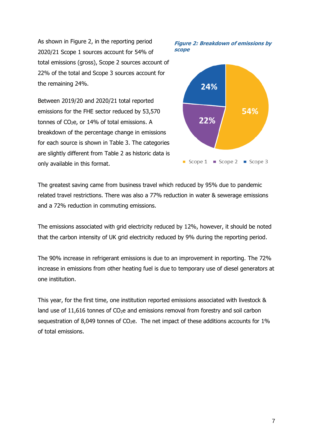As shown in Figure 2, in the reporting period 2020/21 Scope 1 sources account for 54% of total emissions (gross), Scope 2 sources account of 22% of the total and Scope 3 sources account for the remaining 24%.

Between 2019/20 and 2020/21 total reported emissions for the FHE sector reduced by 53,570 tonnes of  $CO<sub>2</sub>e$ , or 14% of total emissions. A breakdown of the percentage change in emissions for each source is shown in Table 3. The categories are slightly different from Table 2 as historic data is only available in this format.





The greatest saving came from business travel which reduced by 95% due to pandemic related travel restrictions. There was also a 77% reduction in water & sewerage emissions and a 72% reduction in commuting emissions.

The emissions associated with grid electricity reduced by 12%, however, it should be noted that the carbon intensity of UK grid electricity reduced by 9% during the reporting period.

The 90% increase in refrigerant emissions is due to an improvement in reporting. The 72% increase in emissions from other heating fuel is due to temporary use of diesel generators at one institution.

This year, for the first time, one institution reported emissions associated with livestock & land use of  $11,616$  tonnes of  $CO<sub>2</sub>e$  and emissions removal from forestry and soil carbon sequestration of 8,049 tonnes of  $CO<sub>2</sub>e$ . The net impact of these additions accounts for 1% of total emissions.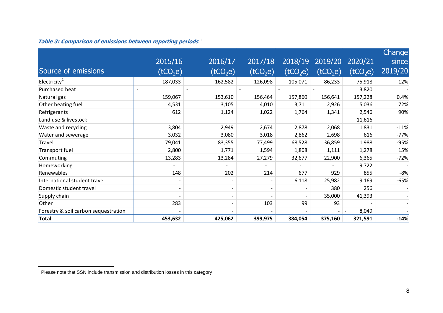|                                      |                          |                          |                      |                      |                      |                      | Change  |
|--------------------------------------|--------------------------|--------------------------|----------------------|----------------------|----------------------|----------------------|---------|
|                                      | 2015/16                  | 2016/17                  | 2017/18              | 2018/19              | 2019/20              | 2020/21              | since   |
| Source of emissions                  | (tCO <sub>2</sub> e)     | (tCO <sub>2</sub> e)     | (tCO <sub>2</sub> e) | (tCO <sub>2</sub> e) | (tCO <sub>2</sub> e) | (tCO <sub>2</sub> e) | 2019/20 |
| Electricity <sup>1</sup>             | 187,033                  | 162,582                  | 126,098              | 105,071              | 86,233               | 75,918               | $-12%$  |
| Purchased heat                       |                          |                          |                      |                      |                      | 3,820                |         |
| Natural gas                          | 159,067                  | 153,610                  | 156,464              | 157,860              | 156,641              | 157,228              | 0.4%    |
| Other heating fuel                   | 4,531                    | 3,105                    | 4,010                | 3,711                | 2,926                | 5,036                | 72%     |
| Refrigerants                         | 612                      | 1,124                    | 1,022                | 1,764                | 1,341                | 2,546                | 90%     |
| Land use & livestock                 |                          |                          |                      |                      |                      | 11,616               |         |
| Waste and recycling                  | 3,804                    | 2,949                    | 2,674                | 2,878                | 2,068                | 1,831                | $-11%$  |
| Water and sewerage                   | 3,032                    | 3,080                    | 3,018                | 2,862                | 2,698                | 616                  | $-77%$  |
| Travel                               | 79,041                   | 83,355                   | 77,499               | 68,528               | 36,859               | 1,988                | $-95%$  |
| Transport fuel                       | 2,800                    | 1,771                    | 1,594                | 1,808                | 1,111                | 1,278                | 15%     |
| Commuting                            | 13,283                   | 13,284                   | 27,279               | 32,677               | 22,900               | 6,365                | $-72%$  |
| Homeworking                          | $\overline{\phantom{0}}$ | $\overline{\phantom{0}}$ |                      |                      |                      | 9,722                |         |
| Renewables                           | 148                      | 202                      | 214                  | 677                  | 929                  | 855                  | $-8%$   |
| International student travel         |                          |                          |                      | 6,118                | 25,982               | 9,169                | $-65%$  |
| Domestic student travel              | $\overline{\phantom{a}}$ |                          |                      |                      | 380                  | 256                  |         |
| Supply chain                         |                          |                          |                      |                      | 35,000               | 41,393               |         |
| Other                                | 283                      |                          | 103                  | 99                   | 93                   |                      |         |
| Forestry & soil carbon sequestration |                          |                          |                      |                      |                      | 8,049                |         |
| <b>Total</b>                         | 453,632                  | 425,062                  | 399,975              | 384,054              | 375,160              | 321,591              | $-14%$  |

#### **Table 3: Comparison of emissions between reporting periods** 1

 $1$  Please note that SSN include transmission and distribution losses in this category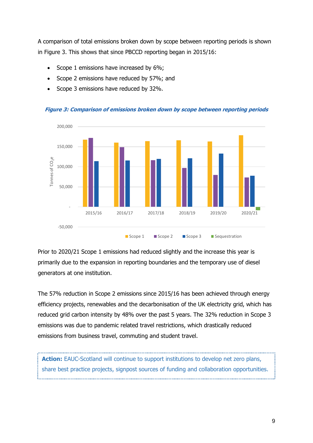A comparison of total emissions broken down by scope between reporting periods is shown in Figure 3. This shows that since PBCCD reporting began in 2015/16:

- Scope 1 emissions have increased by 6%;
- Scope 2 emissions have reduced by 57%; and
- Scope 3 emissions have reduced by 32%.



#### **Figure 3: Comparison of emissions broken down by scope between reporting periods**

Prior to 2020/21 Scope 1 emissions had reduced slightly and the increase this year is primarily due to the expansion in reporting boundaries and the temporary use of diesel generators at one institution.

The 57% reduction in Scope 2 emissions since 2015/16 has been achieved through energy efficiency projects, renewables and the decarbonisation of the UK electricity grid, which has reduced grid carbon intensity by 48% over the past 5 years. The 32% reduction in Scope 3 emissions was due to pandemic related travel restrictions, which drastically reduced emissions from business travel, commuting and student travel.

**Action:** EAUC-Scotland will continue to support institutions to develop net zero plans, share best practice projects, signpost sources of funding and collaboration opportunities.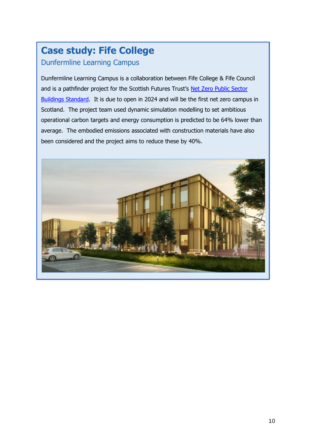# **Case study: Fife College**  Dunfermline Learning Campus

Dunfermline Learning Campus is a collaboration between Fife College & Fife Council and is a pathfinder project for the Scottish Futures Trust's Net Zero Public Sector [Buildings Standard.](https://www.scottishfuturestrust.org.uk/page/net-zero-public-sector-buildings-standard) It is due to open in 2024 and will be the first net zero campus in Scotland. The project team used dynamic simulation modelling to set ambitious operational carbon targets and energy consumption is predicted to be 64% lower than average. The embodied emissions associated with construction materials have also been considered and the project aims to reduce these by 40%.

<span id="page-9-0"></span>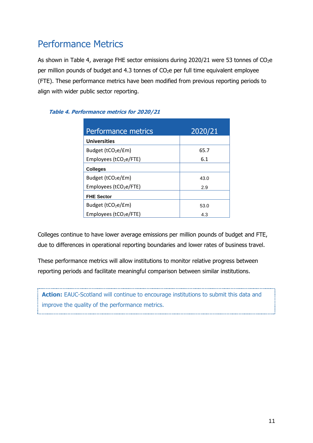## Performance Metrics

As shown in Table 4, average FHE sector emissions during 2020/21 were 53 tonnes of  $CO<sub>2</sub>e$ per million pounds of budget and 4.3 tonnes of  $CO<sub>2</sub>e$  per full time equivalent employee (FTE). These performance metrics have been modified from previous reporting periods to align with wider public sector reporting.

<span id="page-10-0"></span>

| Performance metrics                  | 2020/21 |
|--------------------------------------|---------|
| <b>Universities</b>                  |         |
| Budget (tCO <sub>2</sub> e/£m)       | 65.7    |
| Employees (tCO <sub>2</sub> e/FTE)   | 6.1     |
| <b>Colleges</b>                      |         |
| Budget (tCO <sub>2</sub> e/£m)       | 43.0    |
| Employees ( $tCO2e/FTE$ )            | 2.9     |
| <b>FHE Sector</b>                    |         |
| Budget ( $tCO2e/fm$ )                | 53.0    |
| $Employees$ (tCO <sub>2</sub> e/FTE) | 4.3     |

#### **Table 4. Performance metrics for 2020/21**

Colleges continue to have lower average emissions per million pounds of budget and FTE, due to differences in operational reporting boundaries and lower rates of business travel.

These performance metrics will allow institutions to monitor relative progress between reporting periods and facilitate meaningful comparison between similar institutions.

Action: EAUC-Scotland will continue to encourage institutions to submit this data and improve the quality of the performance metrics.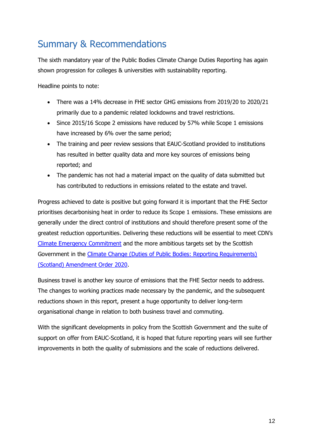# Summary & Recommendations

The sixth mandatory year of the Public Bodies Climate Change Duties Reporting has again shown progression for colleges & universities with sustainability reporting.

Headline points to note:

- There was a 14% decrease in FHE sector GHG emissions from 2019/20 to 2020/21 primarily due to a pandemic related lockdowns and travel restrictions.
- Since 2015/16 Scope 2 emissions have reduced by 57% while Scope 1 emissions have increased by 6% over the same period;
- The training and peer review sessions that EAUC-Scotland provided to institutions has resulted in better quality data and more key sources of emissions being reported; and
- The pandemic has not had a material impact on the quality of data submitted but has contributed to reductions in emissions related to the estate and travel.

Progress achieved to date is positive but going forward it is important that the FHE Sector prioritises decarbonising heat in order to reduce its Scope 1 emissions. These emissions are generally under the direct control of institutions and should therefore present some of the greatest reduction opportunities. Delivering these reductions will be essential to meet CDN's [Climate Emergency Commitment](https://www.cdn.ac.uk/tackling-climate-emergency/) and the more ambitious targets set by the Scottish Government in the Climate Change (Duties of Public Bodies: Reporting Requirements) [\(Scotland\) Amendment Order 2020.](https://www.legislation.gov.uk/ssi/2020/281/contents/made)

Business travel is another key source of emissions that the FHE Sector needs to address. The changes to working practices made necessary by the pandemic, and the subsequent reductions shown in this report, present a huge opportunity to deliver long-term organisational change in relation to both business travel and commuting.

With the significant developments in policy from the Scottish Government and the suite of support on offer from EAUC-Scotland, it is hoped that future reporting years will see further improvements in both the quality of submissions and the scale of reductions delivered.